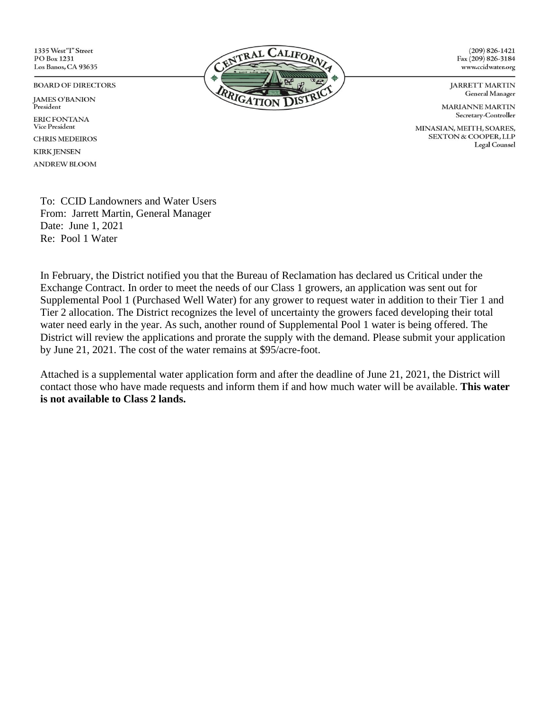1335 West"I" Street PO Box 1231 Los Banos, CA 93635

#### **BOARD OF DIRECTORS**

**JAMES O'BANION** President **ERIC FONTANA Vice President CHRIS MEDEIROS KIRK JENSEN ANDREW BLOOM** 



 $(209) 826 - 1421$ Fax (209) 826-3184 www.ccidwater.org

**JARRETT MARTIN General Manager** 

**MARIANNE MARTIN** Secretary-Controller

MINASIAN, MEITH, SOARES, **SEXTON & COOPER, LLP** Legal Counsel

To: CCID Landowners and Water Users From: Jarrett Martin, General Manager Date: June 1, 2021 Re: Pool 1 Water

In February, the District notified you that the Bureau of Reclamation has declared us Critical under the Exchange Contract. In order to meet the needs of our Class 1 growers, an application was sent out for Supplemental Pool 1 (Purchased Well Water) for any grower to request water in addition to their Tier 1 and Tier 2 allocation. The District recognizes the level of uncertainty the growers faced developing their total water need early in the year. As such, another round of Supplemental Pool 1 water is being offered. The District will review the applications and prorate the supply with the demand. Please submit your application by June 21, 2021. The cost of the water remains at \$95/acre-foot.

Attached is a supplemental water application form and after the deadline of June 21, 2021, the District will contact those who have made requests and inform them if and how much water will be available. **This water is not available to Class 2 lands.**